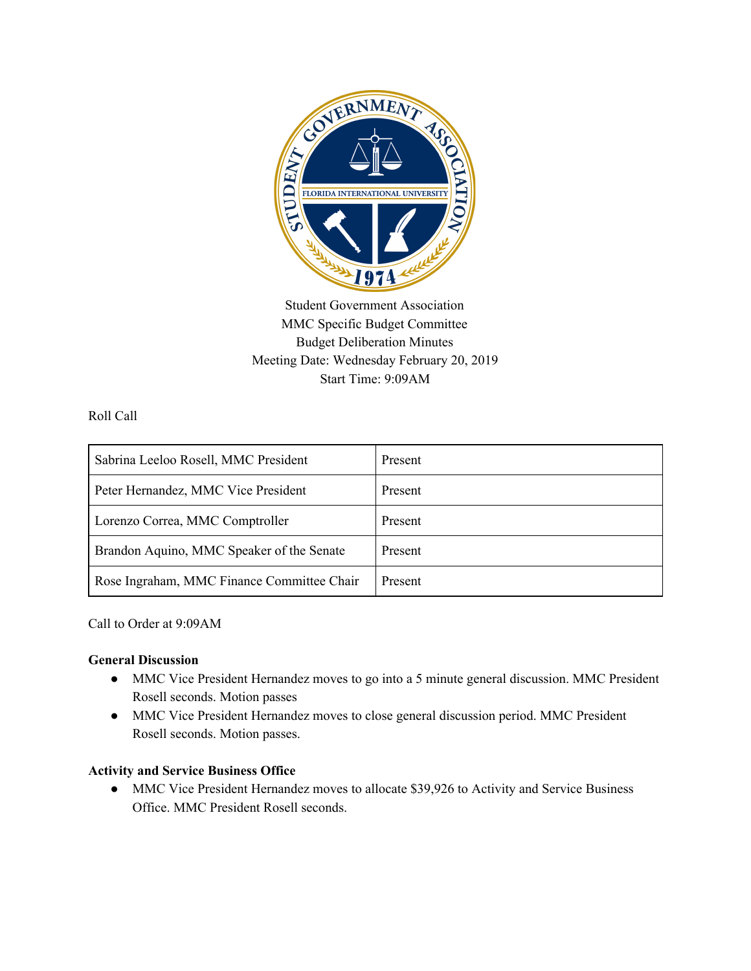

Student Government Association MMC Specific Budget Committee Budget Deliberation Minutes Meeting Date: Wednesday February 20, 2019 Start Time: 9:09AM

Roll Call

| Sabrina Leeloo Rosell, MMC President       | Present |
|--------------------------------------------|---------|
| Peter Hernandez, MMC Vice President        | Present |
| Lorenzo Correa, MMC Comptroller            | Present |
| Brandon Aquino, MMC Speaker of the Senate  | Present |
| Rose Ingraham, MMC Finance Committee Chair | Present |

Call to Order at 9:09AM

## **General Discussion**

- MMC Vice President Hernandez moves to go into a 5 minute general discussion. MMC President Rosell seconds. Motion passes
- MMC Vice President Hernandez moves to close general discussion period. MMC President Rosell seconds. Motion passes.

## **Activity and Service Business Office**

• MMC Vice President Hernandez moves to allocate \$39,926 to Activity and Service Business Office. MMC President Rosell seconds.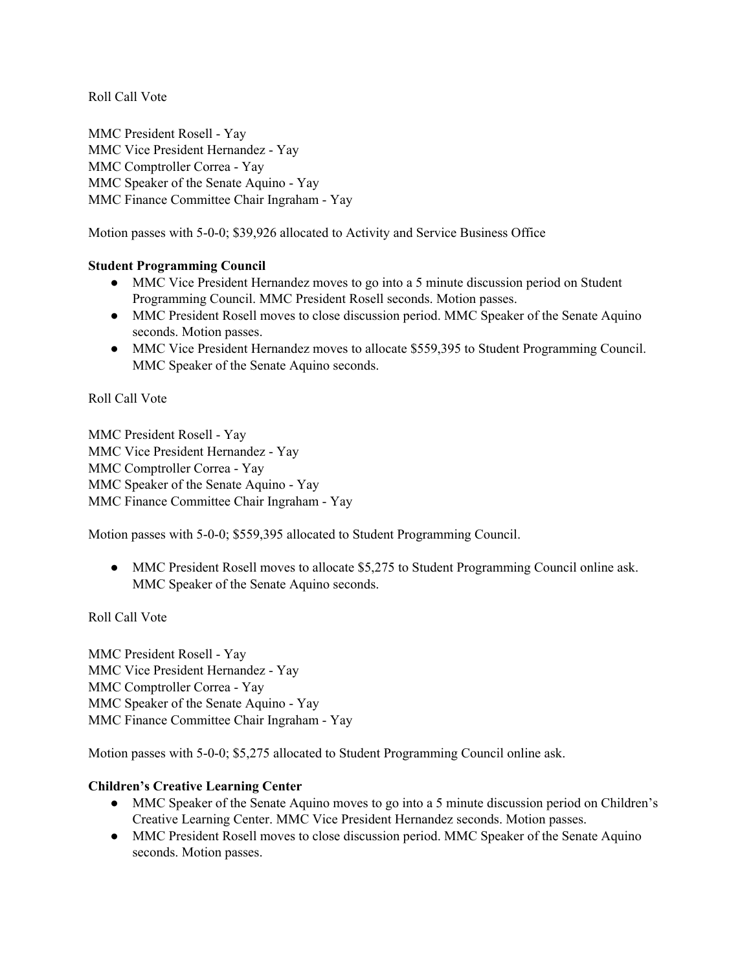MMC President Rosell - Yay MMC Vice President Hernandez - Yay MMC Comptroller Correa - Yay MMC Speaker of the Senate Aquino - Yay MMC Finance Committee Chair Ingraham - Yay

Motion passes with 5-0-0; \$39,926 allocated to Activity and Service Business Office

#### **Student Programming Council**

- MMC Vice President Hernandez moves to go into a 5 minute discussion period on Student Programming Council. MMC President Rosell seconds. Motion passes.
- MMC President Rosell moves to close discussion period. MMC Speaker of the Senate Aquino seconds. Motion passes.
- MMC Vice President Hernandez moves to allocate \$559,395 to Student Programming Council. MMC Speaker of the Senate Aquino seconds.

Roll Call Vote

MMC President Rosell - Yay MMC Vice President Hernandez - Yay MMC Comptroller Correa - Yay MMC Speaker of the Senate Aquino - Yay MMC Finance Committee Chair Ingraham - Yay

Motion passes with 5-0-0; \$559,395 allocated to Student Programming Council.

• MMC President Rosell moves to allocate \$5,275 to Student Programming Council online ask. MMC Speaker of the Senate Aquino seconds.

Roll Call Vote

MMC President Rosell - Yay MMC Vice President Hernandez - Yay MMC Comptroller Correa - Yay MMC Speaker of the Senate Aquino - Yay MMC Finance Committee Chair Ingraham - Yay

Motion passes with 5-0-0; \$5,275 allocated to Student Programming Council online ask.

## **Children's Creative Learning Center**

- MMC Speaker of the Senate Aquino moves to go into a 5 minute discussion period on Children's Creative Learning Center. MMC Vice President Hernandez seconds. Motion passes.
- MMC President Rosell moves to close discussion period. MMC Speaker of the Senate Aquino seconds. Motion passes.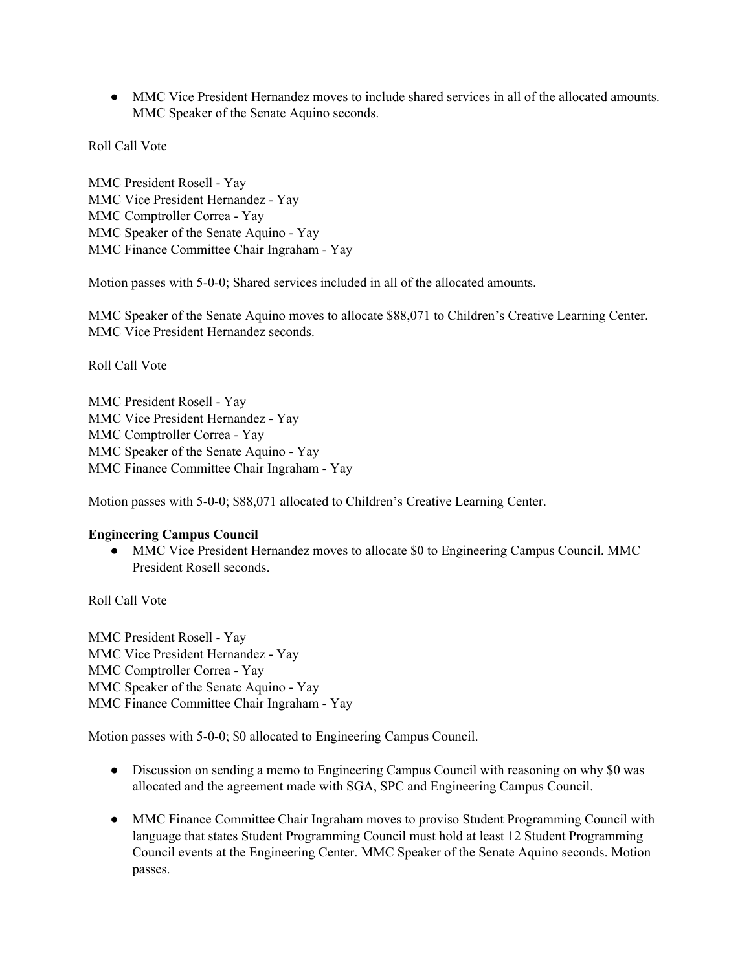• MMC Vice President Hernandez moves to include shared services in all of the allocated amounts. MMC Speaker of the Senate Aquino seconds.

Roll Call Vote

MMC President Rosell - Yay MMC Vice President Hernandez - Yay MMC Comptroller Correa - Yay MMC Speaker of the Senate Aquino - Yay MMC Finance Committee Chair Ingraham - Yay

Motion passes with 5-0-0; Shared services included in all of the allocated amounts.

MMC Speaker of the Senate Aquino moves to allocate \$88,071 to Children's Creative Learning Center. MMC Vice President Hernandez seconds.

Roll Call Vote

MMC President Rosell - Yay MMC Vice President Hernandez - Yay MMC Comptroller Correa - Yay MMC Speaker of the Senate Aquino - Yay MMC Finance Committee Chair Ingraham - Yay

Motion passes with 5-0-0; \$88,071 allocated to Children's Creative Learning Center.

#### **Engineering Campus Council**

• MMC Vice President Hernandez moves to allocate \$0 to Engineering Campus Council. MMC President Rosell seconds.

Roll Call Vote

MMC President Rosell - Yay MMC Vice President Hernandez - Yay MMC Comptroller Correa - Yay MMC Speaker of the Senate Aquino - Yay MMC Finance Committee Chair Ingraham - Yay

Motion passes with 5-0-0; \$0 allocated to Engineering Campus Council.

- Discussion on sending a memo to Engineering Campus Council with reasoning on why \$0 was allocated and the agreement made with SGA, SPC and Engineering Campus Council.
- MMC Finance Committee Chair Ingraham moves to proviso Student Programming Council with language that states Student Programming Council must hold at least 12 Student Programming Council events at the Engineering Center. MMC Speaker of the Senate Aquino seconds. Motion passes.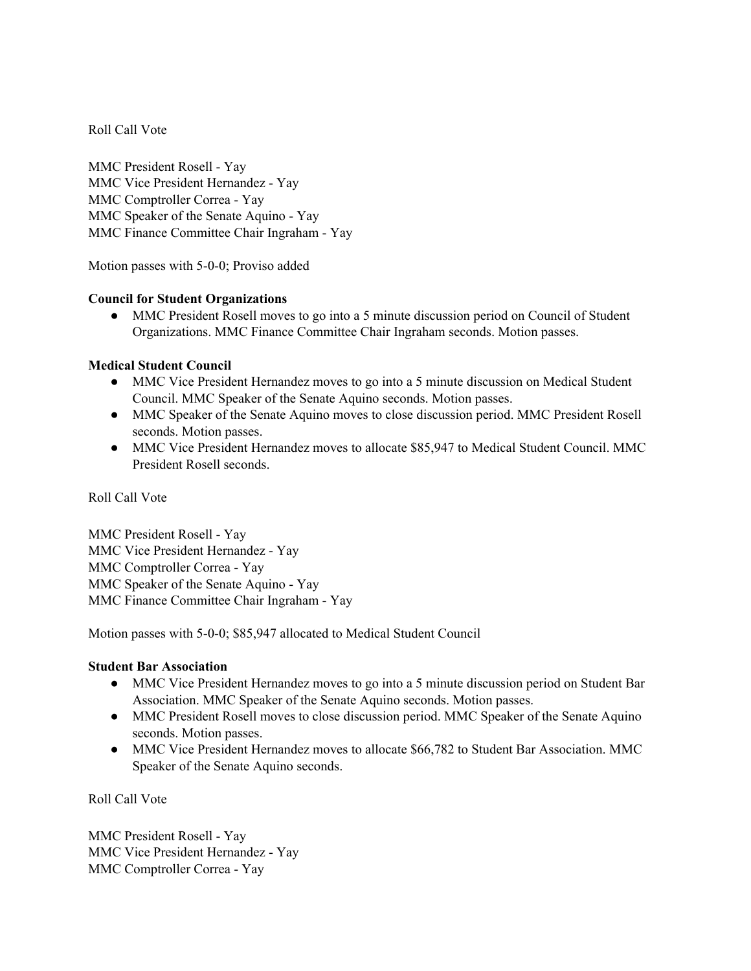MMC President Rosell - Yay MMC Vice President Hernandez - Yay MMC Comptroller Correa - Yay MMC Speaker of the Senate Aquino - Yay MMC Finance Committee Chair Ingraham - Yay

Motion passes with 5-0-0; Proviso added

#### **Council for Student Organizations**

• MMC President Rosell moves to go into a 5 minute discussion period on Council of Student Organizations. MMC Finance Committee Chair Ingraham seconds. Motion passes.

#### **Medical Student Council**

- MMC Vice President Hernandez moves to go into a 5 minute discussion on Medical Student Council. MMC Speaker of the Senate Aquino seconds. Motion passes.
- MMC Speaker of the Senate Aquino moves to close discussion period. MMC President Rosell seconds. Motion passes.
- MMC Vice President Hernandez moves to allocate \$85,947 to Medical Student Council. MMC President Rosell seconds.

#### Roll Call Vote

MMC President Rosell - Yay MMC Vice President Hernandez - Yay MMC Comptroller Correa - Yay MMC Speaker of the Senate Aquino - Yay MMC Finance Committee Chair Ingraham - Yay

Motion passes with 5-0-0; \$85,947 allocated to Medical Student Council

#### **Student Bar Association**

- MMC Vice President Hernandez moves to go into a 5 minute discussion period on Student Bar Association. MMC Speaker of the Senate Aquino seconds. Motion passes.
- MMC President Rosell moves to close discussion period. MMC Speaker of the Senate Aquino seconds. Motion passes.
- MMC Vice President Hernandez moves to allocate \$66,782 to Student Bar Association. MMC Speaker of the Senate Aquino seconds.

Roll Call Vote

MMC President Rosell - Yay MMC Vice President Hernandez - Yay MMC Comptroller Correa - Yay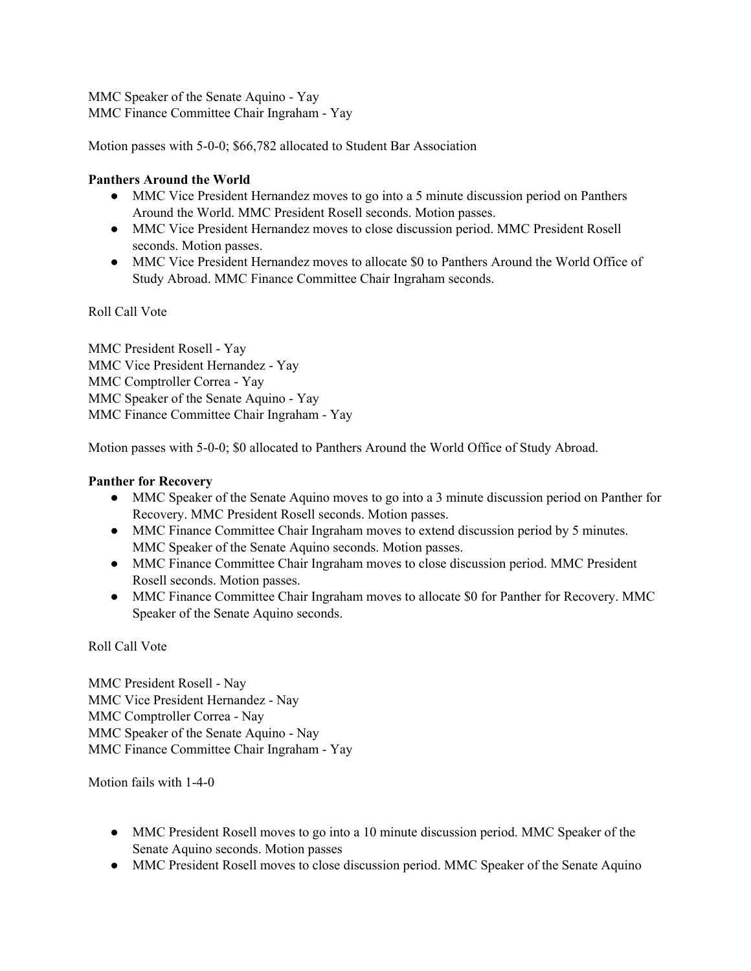MMC Speaker of the Senate Aquino - Yay MMC Finance Committee Chair Ingraham - Yay

Motion passes with 5-0-0; \$66,782 allocated to Student Bar Association

## **Panthers Around the World**

- MMC Vice President Hernandez moves to go into a 5 minute discussion period on Panthers Around the World. MMC President Rosell seconds. Motion passes.
- MMC Vice President Hernandez moves to close discussion period. MMC President Rosell seconds. Motion passes.
- MMC Vice President Hernandez moves to allocate \$0 to Panthers Around the World Office of Study Abroad. MMC Finance Committee Chair Ingraham seconds.

Roll Call Vote

MMC President Rosell - Yay MMC Vice President Hernandez - Yay MMC Comptroller Correa - Yay MMC Speaker of the Senate Aquino - Yay MMC Finance Committee Chair Ingraham - Yay

Motion passes with 5-0-0; \$0 allocated to Panthers Around the World Office of Study Abroad.

# **Panther for Recovery**

- MMC Speaker of the Senate Aquino moves to go into a 3 minute discussion period on Panther for Recovery. MMC President Rosell seconds. Motion passes.
- MMC Finance Committee Chair Ingraham moves to extend discussion period by 5 minutes. MMC Speaker of the Senate Aquino seconds. Motion passes.
- MMC Finance Committee Chair Ingraham moves to close discussion period. MMC President Rosell seconds. Motion passes.
- MMC Finance Committee Chair Ingraham moves to allocate \$0 for Panther for Recovery. MMC Speaker of the Senate Aquino seconds.

Roll Call Vote

MMC President Rosell - Nay MMC Vice President Hernandez - Nay MMC Comptroller Correa - Nay MMC Speaker of the Senate Aquino - Nay MMC Finance Committee Chair Ingraham - Yay

Motion fails with 1-4-0

- MMC President Rosell moves to go into a 10 minute discussion period. MMC Speaker of the Senate Aquino seconds. Motion passes
- MMC President Rosell moves to close discussion period. MMC Speaker of the Senate Aquino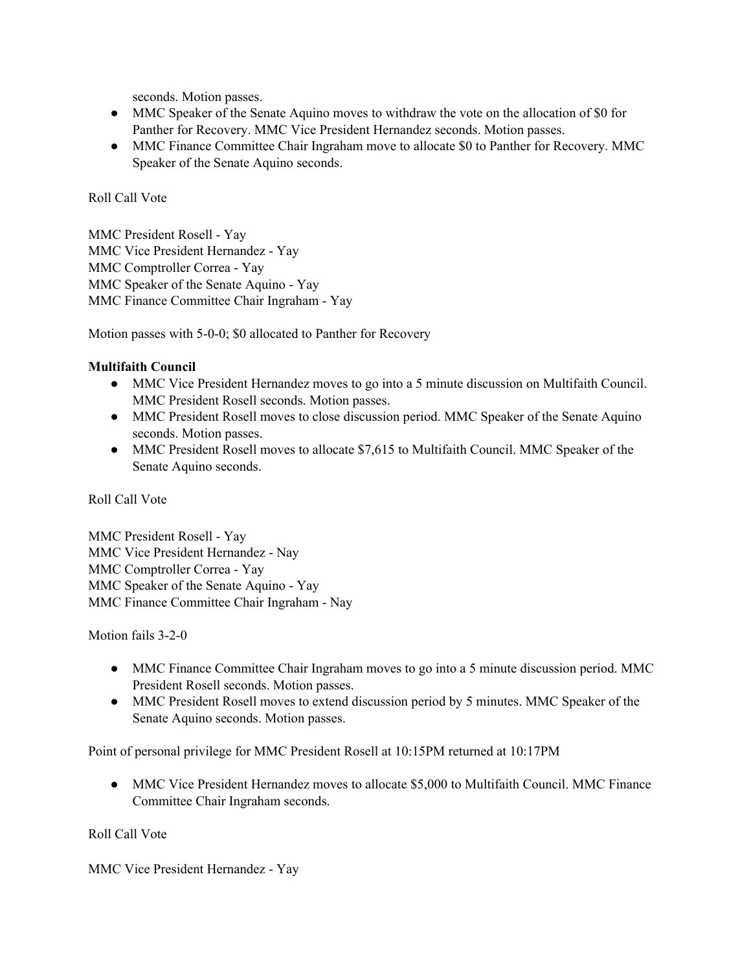seconds. Motion passes.

- MMC Speaker of the Senate Aquino moves to withdraw the vote on the allocation of \$0 for Panther for Recovery. MMC Vice President Hernandez seconds. Motion passes.
- MMC Finance Committee Chair Ingraham move to allocate \$0 to Panther for Recovery. MMC Speaker of the Senate Aquino seconds.

### Roll Call Vote

MMC President Rosell - Yay MMC Vice President Hernandez - Yay MMC Comptroller Correa - Yay MMC Speaker of the Senate Aquino - Yay MMC Finance Committee Chair Ingraham - Yay

Motion passes with 5-0-0; \$0 allocated to Panther for Recovery

#### **Multifaith Council**

- MMC Vice President Hernandez moves to go into a 5 minute discussion on Multifaith Council. MMC President Rosell seconds. Motion passes.
- MMC President Rosell moves to close discussion period. MMC Speaker of the Senate Aquino seconds. Motion passes.
- MMC President Rosell moves to allocate \$7,615 to Multifaith Council. MMC Speaker of the Senate Aquino seconds.

## Roll Call Vote

MMC President Rosell - Yay MMC Vice President Hernandez - Nay MMC Comptroller Correa - Yay MMC Speaker of the Senate Aquino - Yay MMC Finance Committee Chair Ingraham - Nay

Motion fails 3-2-0

- MMC Finance Committee Chair Ingraham moves to go into a 5 minute discussion period. MMC President Rosell seconds. Motion passes.
- MMC President Rosell moves to extend discussion period by 5 minutes. MMC Speaker of the Senate Aquino seconds. Motion passes.

Point of personal privilege for MMC President Rosell at 10:15PM returned at 10:17PM

• MMC Vice President Hernandez moves to allocate \$5,000 to Multifaith Council. MMC Finance Committee Chair Ingraham seconds.

Roll Call Vote

MMC Vice President Hernandez - Yay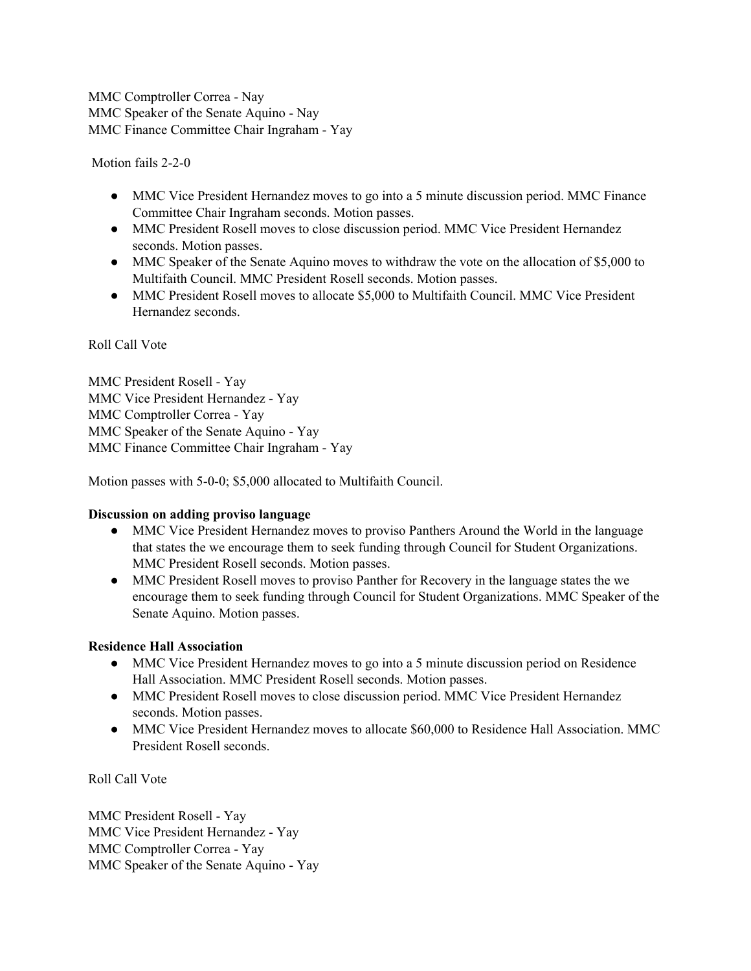MMC Comptroller Correa - Nay MMC Speaker of the Senate Aquino - Nay MMC Finance Committee Chair Ingraham - Yay

Motion fails 2-2-0

- MMC Vice President Hernandez moves to go into a 5 minute discussion period. MMC Finance Committee Chair Ingraham seconds. Motion passes.
- MMC President Rosell moves to close discussion period. MMC Vice President Hernandez seconds. Motion passes.
- MMC Speaker of the Senate Aquino moves to withdraw the vote on the allocation of \$5,000 to Multifaith Council. MMC President Rosell seconds. Motion passes.
- MMC President Rosell moves to allocate \$5,000 to Multifaith Council. MMC Vice President Hernandez seconds.

#### Roll Call Vote

MMC President Rosell - Yay MMC Vice President Hernandez - Yay MMC Comptroller Correa - Yay MMC Speaker of the Senate Aquino - Yay MMC Finance Committee Chair Ingraham - Yay

Motion passes with 5-0-0; \$5,000 allocated to Multifaith Council.

#### **Discussion on adding proviso language**

- **●** MMC Vice President Hernandez moves to proviso Panthers Around the World in the language that states the we encourage them to seek funding through Council for Student Organizations. MMC President Rosell seconds. Motion passes.
- MMC President Rosell moves to proviso Panther for Recovery in the language states the we encourage them to seek funding through Council for Student Organizations. MMC Speaker of the Senate Aquino. Motion passes.

## **Residence Hall Association**

- MMC Vice President Hernandez moves to go into a 5 minute discussion period on Residence Hall Association. MMC President Rosell seconds. Motion passes.
- MMC President Rosell moves to close discussion period. MMC Vice President Hernandez seconds. Motion passes.
- MMC Vice President Hernandez moves to allocate \$60,000 to Residence Hall Association. MMC President Rosell seconds.

Roll Call Vote

MMC President Rosell - Yay MMC Vice President Hernandez - Yay MMC Comptroller Correa - Yay MMC Speaker of the Senate Aquino - Yay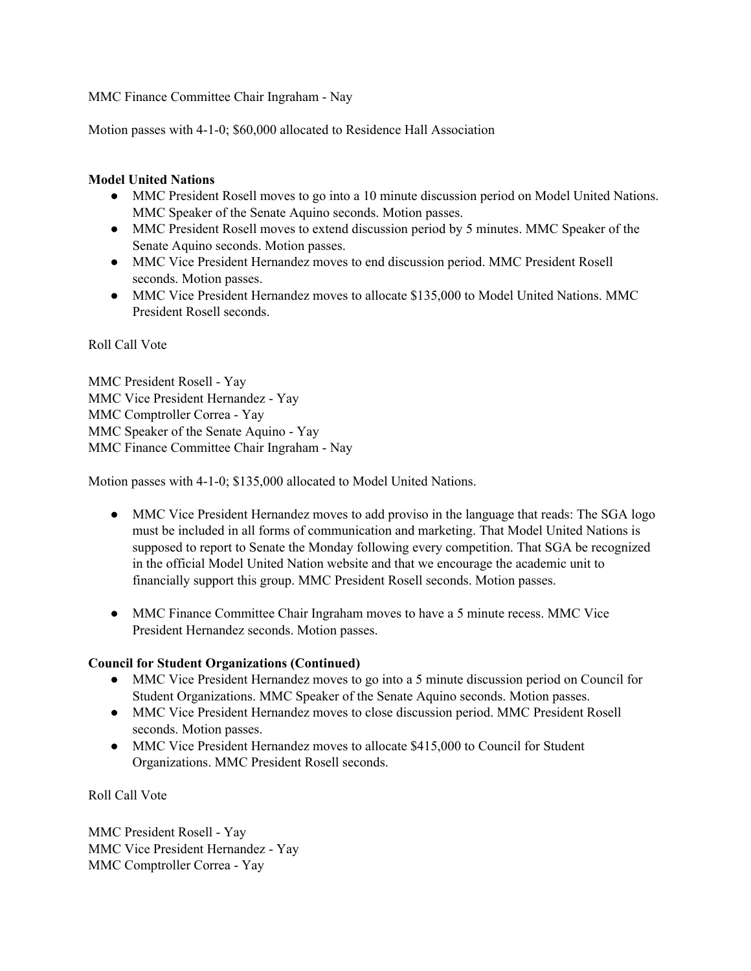MMC Finance Committee Chair Ingraham - Nay

Motion passes with 4-1-0; \$60,000 allocated to Residence Hall Association

## **Model United Nations**

- MMC President Rosell moves to go into a 10 minute discussion period on Model United Nations. MMC Speaker of the Senate Aquino seconds. Motion passes.
- MMC President Rosell moves to extend discussion period by 5 minutes. MMC Speaker of the Senate Aquino seconds. Motion passes.
- MMC Vice President Hernandez moves to end discussion period. MMC President Rosell seconds. Motion passes.
- MMC Vice President Hernandez moves to allocate \$135,000 to Model United Nations. MMC President Rosell seconds.

Roll Call Vote

MMC President Rosell - Yay MMC Vice President Hernandez - Yay MMC Comptroller Correa - Yay MMC Speaker of the Senate Aquino - Yay MMC Finance Committee Chair Ingraham - Nay

Motion passes with 4-1-0; \$135,000 allocated to Model United Nations.

- MMC Vice President Hernandez moves to add proviso in the language that reads: The SGA logo must be included in all forms of communication and marketing. That Model United Nations is supposed to report to Senate the Monday following every competition. That SGA be recognized in the official Model United Nation website and that we encourage the academic unit to financially support this group. MMC President Rosell seconds. Motion passes.
- MMC Finance Committee Chair Ingraham moves to have a 5 minute recess. MMC Vice President Hernandez seconds. Motion passes.

## **Council for Student Organizations (Continued)**

- MMC Vice President Hernandez moves to go into a 5 minute discussion period on Council for Student Organizations. MMC Speaker of the Senate Aquino seconds. Motion passes.
- MMC Vice President Hernandez moves to close discussion period. MMC President Rosell seconds. Motion passes.
- MMC Vice President Hernandez moves to allocate \$415,000 to Council for Student Organizations. MMC President Rosell seconds.

Roll Call Vote

MMC President Rosell - Yay MMC Vice President Hernandez - Yay MMC Comptroller Correa - Yay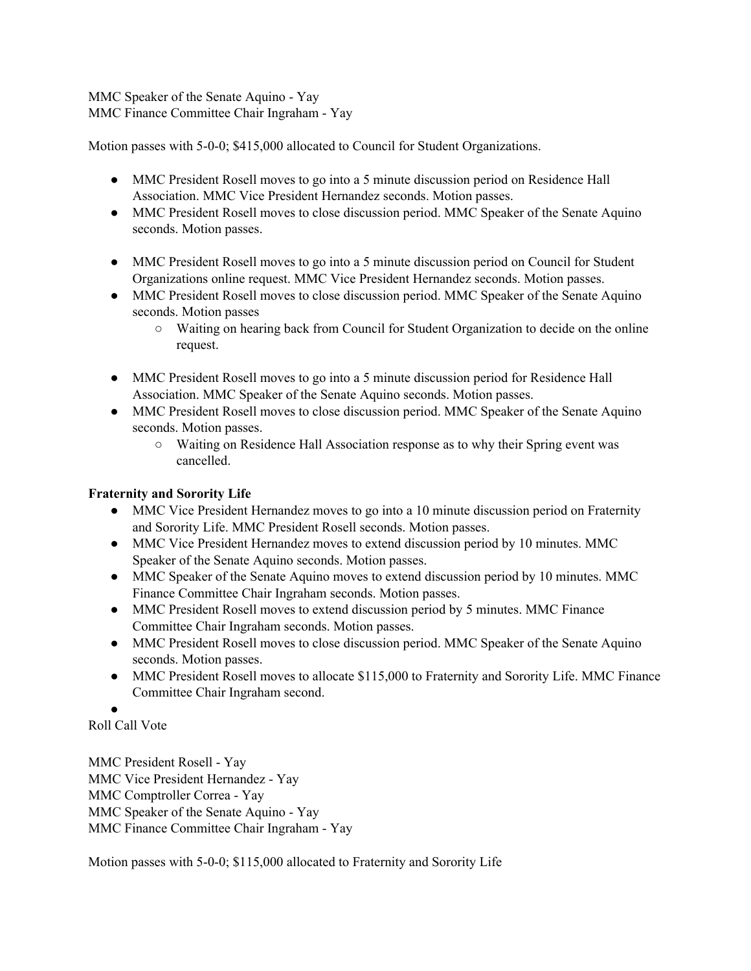MMC Speaker of the Senate Aquino - Yay MMC Finance Committee Chair Ingraham - Yay

Motion passes with 5-0-0; \$415,000 allocated to Council for Student Organizations.

- MMC President Rosell moves to go into a 5 minute discussion period on Residence Hall Association. MMC Vice President Hernandez seconds. Motion passes.
- MMC President Rosell moves to close discussion period. MMC Speaker of the Senate Aquino seconds. Motion passes.
- MMC President Rosell moves to go into a 5 minute discussion period on Council for Student Organizations online request. MMC Vice President Hernandez seconds. Motion passes.
- MMC President Rosell moves to close discussion period. MMC Speaker of the Senate Aquino seconds. Motion passes
	- Waiting on hearing back from Council for Student Organization to decide on the online request.
- MMC President Rosell moves to go into a 5 minute discussion period for Residence Hall Association. MMC Speaker of the Senate Aquino seconds. Motion passes.
- MMC President Rosell moves to close discussion period. MMC Speaker of the Senate Aquino seconds. Motion passes.
	- Waiting on Residence Hall Association response as to why their Spring event was cancelled.

# **Fraternity and Sorority Life**

- MMC Vice President Hernandez moves to go into a 10 minute discussion period on Fraternity and Sorority Life. MMC President Rosell seconds. Motion passes.
- MMC Vice President Hernandez moves to extend discussion period by 10 minutes. MMC Speaker of the Senate Aquino seconds. Motion passes.
- MMC Speaker of the Senate Aquino moves to extend discussion period by 10 minutes. MMC Finance Committee Chair Ingraham seconds. Motion passes.
- MMC President Rosell moves to extend discussion period by 5 minutes. MMC Finance Committee Chair Ingraham seconds. Motion passes.
- MMC President Rosell moves to close discussion period. MMC Speaker of the Senate Aquino seconds. Motion passes.
- MMC President Rosell moves to allocate \$115,000 to Fraternity and Sorority Life. MMC Finance Committee Chair Ingraham second.

● Roll Call Vote

MMC President Rosell - Yay MMC Vice President Hernandez - Yay MMC Comptroller Correa - Yay MMC Speaker of the Senate Aquino - Yay MMC Finance Committee Chair Ingraham - Yay

Motion passes with 5-0-0; \$115,000 allocated to Fraternity and Sorority Life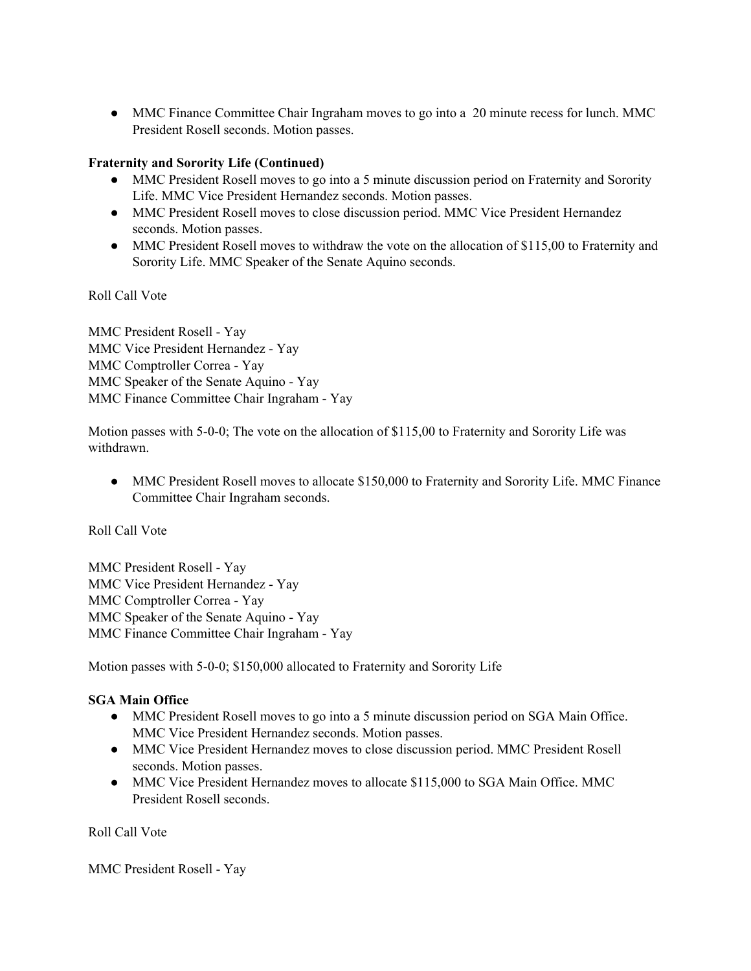• MMC Finance Committee Chair Ingraham moves to go into a 20 minute recess for lunch. MMC President Rosell seconds. Motion passes.

# **Fraternity and Sorority Life (Continued)**

- MMC President Rosell moves to go into a 5 minute discussion period on Fraternity and Sorority Life. MMC Vice President Hernandez seconds. Motion passes.
- MMC President Rosell moves to close discussion period. MMC Vice President Hernandez seconds. Motion passes.
- MMC President Rosell moves to withdraw the vote on the allocation of \$115,00 to Fraternity and Sorority Life. MMC Speaker of the Senate Aquino seconds.

Roll Call Vote

MMC President Rosell - Yay MMC Vice President Hernandez - Yay MMC Comptroller Correa - Yay MMC Speaker of the Senate Aquino - Yay MMC Finance Committee Chair Ingraham - Yay

Motion passes with 5-0-0; The vote on the allocation of \$115,00 to Fraternity and Sorority Life was withdrawn.

• MMC President Rosell moves to allocate \$150,000 to Fraternity and Sorority Life. MMC Finance Committee Chair Ingraham seconds.

Roll Call Vote

MMC President Rosell - Yay MMC Vice President Hernandez - Yay MMC Comptroller Correa - Yay MMC Speaker of the Senate Aquino - Yay MMC Finance Committee Chair Ingraham - Yay

Motion passes with 5-0-0; \$150,000 allocated to Fraternity and Sorority Life

## **SGA Main Office**

- MMC President Rosell moves to go into a 5 minute discussion period on SGA Main Office. MMC Vice President Hernandez seconds. Motion passes.
- MMC Vice President Hernandez moves to close discussion period. MMC President Rosell seconds. Motion passes.
- MMC Vice President Hernandez moves to allocate \$115,000 to SGA Main Office. MMC President Rosell seconds.

Roll Call Vote

MMC President Rosell - Yay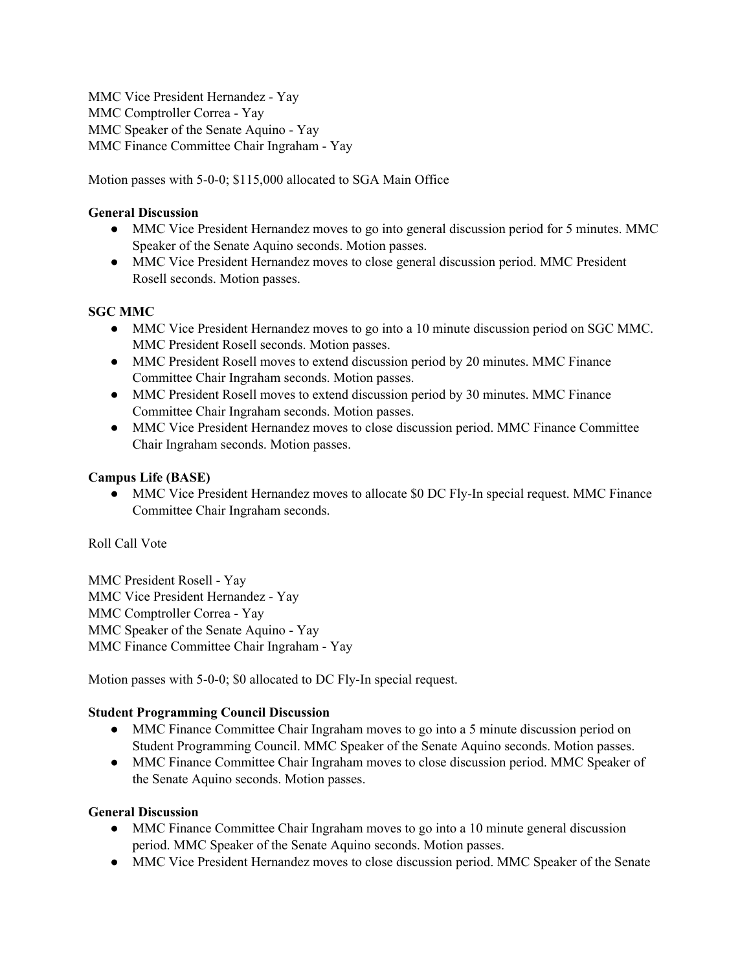MMC Vice President Hernandez - Yay MMC Comptroller Correa - Yay MMC Speaker of the Senate Aquino - Yay MMC Finance Committee Chair Ingraham - Yay

Motion passes with 5-0-0; \$115,000 allocated to SGA Main Office

### **General Discussion**

- MMC Vice President Hernandez moves to go into general discussion period for 5 minutes. MMC Speaker of the Senate Aquino seconds. Motion passes.
- MMC Vice President Hernandez moves to close general discussion period. MMC President Rosell seconds. Motion passes.

## **SGC MMC**

- MMC Vice President Hernandez moves to go into a 10 minute discussion period on SGC MMC. MMC President Rosell seconds. Motion passes.
- MMC President Rosell moves to extend discussion period by 20 minutes. MMC Finance Committee Chair Ingraham seconds. Motion passes.
- MMC President Rosell moves to extend discussion period by 30 minutes. MMC Finance Committee Chair Ingraham seconds. Motion passes.
- MMC Vice President Hernandez moves to close discussion period. MMC Finance Committee Chair Ingraham seconds. Motion passes.

#### **Campus Life (BASE)**

• MMC Vice President Hernandez moves to allocate \$0 DC Fly-In special request. MMC Finance Committee Chair Ingraham seconds.

Roll Call Vote

MMC President Rosell - Yay MMC Vice President Hernandez - Yay MMC Comptroller Correa - Yay MMC Speaker of the Senate Aquino - Yay MMC Finance Committee Chair Ingraham - Yay

Motion passes with 5-0-0; \$0 allocated to DC Fly-In special request.

#### **Student Programming Council Discussion**

- MMC Finance Committee Chair Ingraham moves to go into a 5 minute discussion period on Student Programming Council. MMC Speaker of the Senate Aquino seconds. Motion passes.
- MMC Finance Committee Chair Ingraham moves to close discussion period. MMC Speaker of the Senate Aquino seconds. Motion passes.

#### **General Discussion**

- MMC Finance Committee Chair Ingraham moves to go into a 10 minute general discussion period. MMC Speaker of the Senate Aquino seconds. Motion passes.
- MMC Vice President Hernandez moves to close discussion period. MMC Speaker of the Senate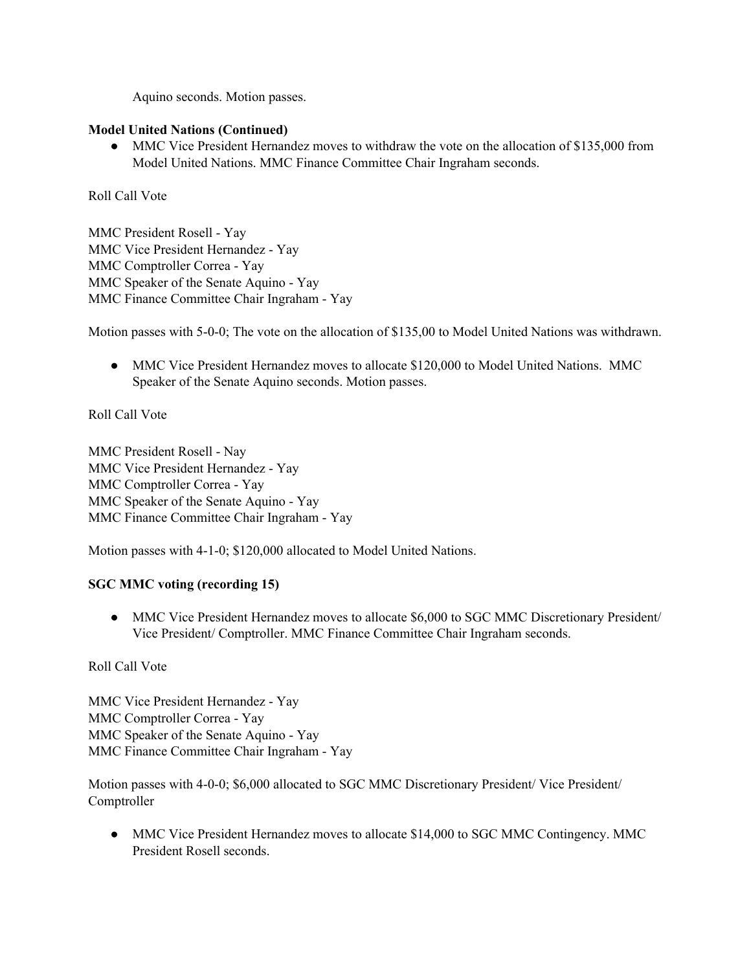Aquino seconds. Motion passes.

#### **Model United Nations (Continued)**

• MMC Vice President Hernandez moves to withdraw the vote on the allocation of \$135,000 from Model United Nations. MMC Finance Committee Chair Ingraham seconds.

Roll Call Vote

MMC President Rosell - Yay MMC Vice President Hernandez - Yay MMC Comptroller Correa - Yay MMC Speaker of the Senate Aquino - Yay MMC Finance Committee Chair Ingraham - Yay

Motion passes with 5-0-0; The vote on the allocation of \$135,00 to Model United Nations was withdrawn.

• MMC Vice President Hernandez moves to allocate \$120,000 to Model United Nations. MMC Speaker of the Senate Aquino seconds. Motion passes.

Roll Call Vote

MMC President Rosell - Nay MMC Vice President Hernandez - Yay MMC Comptroller Correa - Yay MMC Speaker of the Senate Aquino - Yay MMC Finance Committee Chair Ingraham - Yay

Motion passes with 4-1-0; \$120,000 allocated to Model United Nations.

## **SGC MMC voting (recording 15)**

• MMC Vice President Hernandez moves to allocate \$6,000 to SGC MMC Discretionary President/ Vice President/ Comptroller. MMC Finance Committee Chair Ingraham seconds.

Roll Call Vote

MMC Vice President Hernandez - Yay MMC Comptroller Correa - Yay MMC Speaker of the Senate Aquino - Yay MMC Finance Committee Chair Ingraham - Yay

Motion passes with 4-0-0; \$6,000 allocated to SGC MMC Discretionary President/ Vice President/ Comptroller

• MMC Vice President Hernandez moves to allocate \$14,000 to SGC MMC Contingency. MMC President Rosell seconds.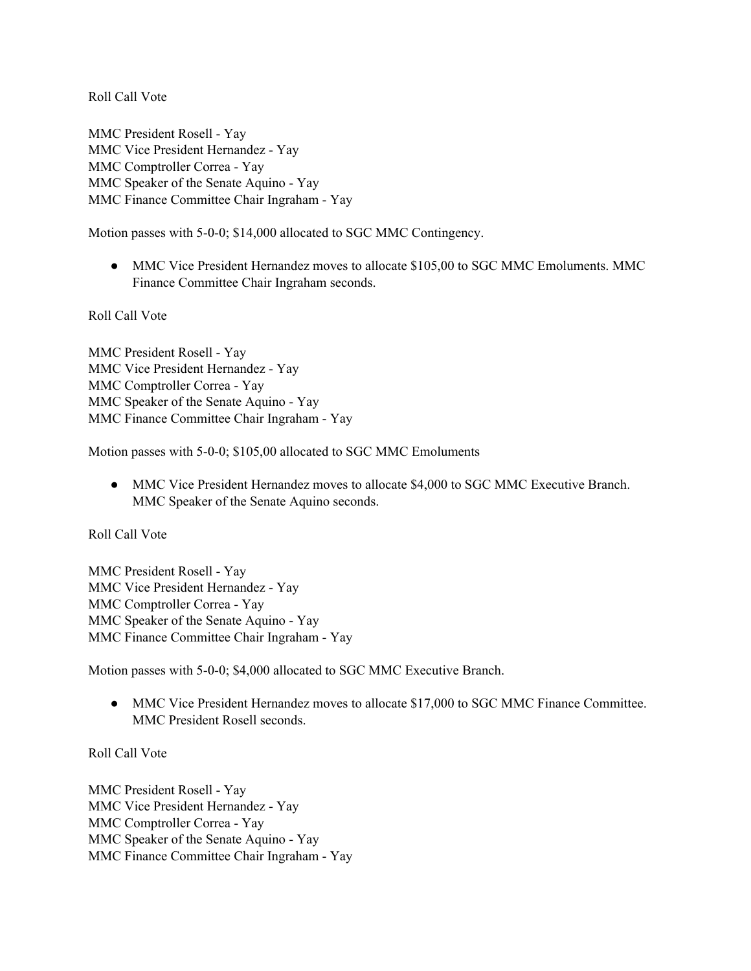MMC President Rosell - Yay MMC Vice President Hernandez - Yay MMC Comptroller Correa - Yay MMC Speaker of the Senate Aquino - Yay MMC Finance Committee Chair Ingraham - Yay

Motion passes with 5-0-0; \$14,000 allocated to SGC MMC Contingency.

● MMC Vice President Hernandez moves to allocate \$105,00 to SGC MMC Emoluments. MMC Finance Committee Chair Ingraham seconds.

Roll Call Vote

MMC President Rosell - Yay MMC Vice President Hernandez - Yay MMC Comptroller Correa - Yay MMC Speaker of the Senate Aquino - Yay MMC Finance Committee Chair Ingraham - Yay

Motion passes with 5-0-0; \$105,00 allocated to SGC MMC Emoluments

● MMC Vice President Hernandez moves to allocate \$4,000 to SGC MMC Executive Branch. MMC Speaker of the Senate Aquino seconds.

Roll Call Vote

MMC President Rosell - Yay MMC Vice President Hernandez - Yay MMC Comptroller Correa - Yay MMC Speaker of the Senate Aquino - Yay MMC Finance Committee Chair Ingraham - Yay

Motion passes with 5-0-0; \$4,000 allocated to SGC MMC Executive Branch.

• MMC Vice President Hernandez moves to allocate \$17,000 to SGC MMC Finance Committee. MMC President Rosell seconds.

Roll Call Vote

MMC President Rosell - Yay MMC Vice President Hernandez - Yay MMC Comptroller Correa - Yay MMC Speaker of the Senate Aquino - Yay MMC Finance Committee Chair Ingraham - Yay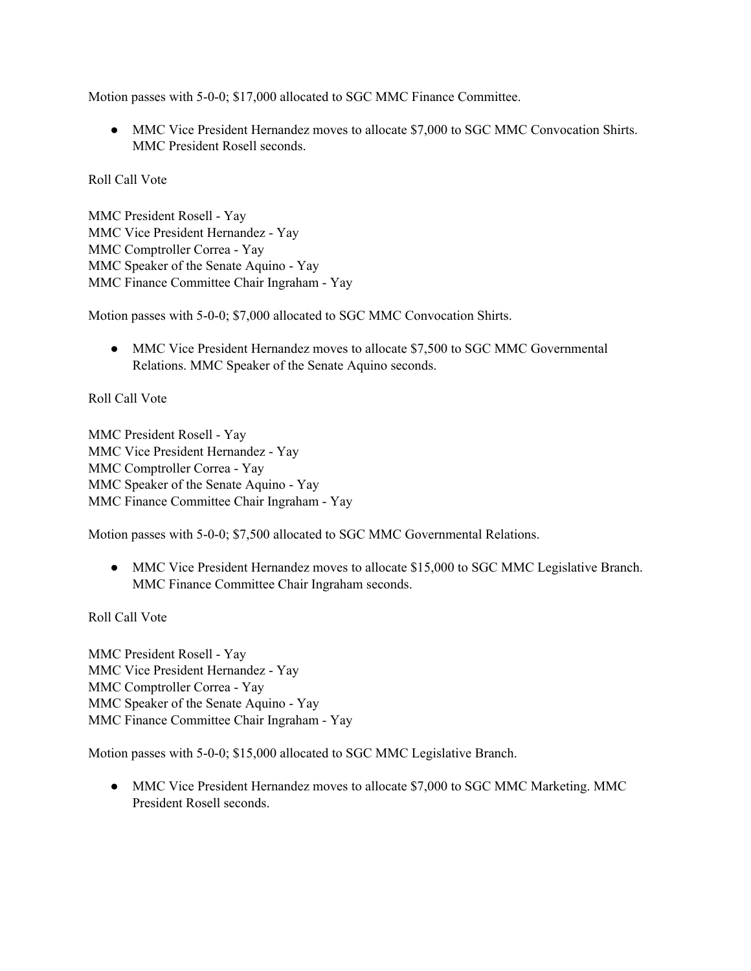Motion passes with 5-0-0; \$17,000 allocated to SGC MMC Finance Committee.

• MMC Vice President Hernandez moves to allocate \$7,000 to SGC MMC Convocation Shirts. MMC President Rosell seconds.

Roll Call Vote

MMC President Rosell - Yay MMC Vice President Hernandez - Yay MMC Comptroller Correa - Yay MMC Speaker of the Senate Aquino - Yay MMC Finance Committee Chair Ingraham - Yay

Motion passes with 5-0-0; \$7,000 allocated to SGC MMC Convocation Shirts.

• MMC Vice President Hernandez moves to allocate \$7,500 to SGC MMC Governmental Relations. MMC Speaker of the Senate Aquino seconds.

Roll Call Vote

MMC President Rosell - Yay MMC Vice President Hernandez - Yay MMC Comptroller Correa - Yay MMC Speaker of the Senate Aquino - Yay MMC Finance Committee Chair Ingraham - Yay

Motion passes with 5-0-0; \$7,500 allocated to SGC MMC Governmental Relations.

• MMC Vice President Hernandez moves to allocate \$15,000 to SGC MMC Legislative Branch. MMC Finance Committee Chair Ingraham seconds.

Roll Call Vote

MMC President Rosell - Yay MMC Vice President Hernandez - Yay MMC Comptroller Correa - Yay MMC Speaker of the Senate Aquino - Yay MMC Finance Committee Chair Ingraham - Yay

Motion passes with 5-0-0; \$15,000 allocated to SGC MMC Legislative Branch.

• MMC Vice President Hernandez moves to allocate \$7,000 to SGC MMC Marketing. MMC President Rosell seconds.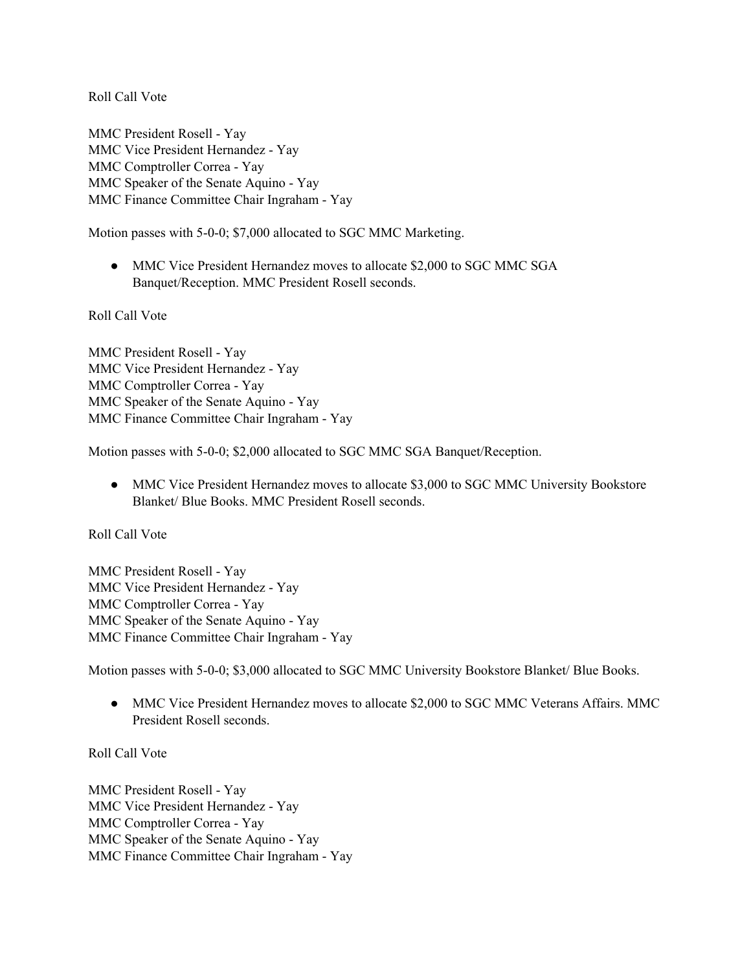MMC President Rosell - Yay MMC Vice President Hernandez - Yay MMC Comptroller Correa - Yay MMC Speaker of the Senate Aquino - Yay MMC Finance Committee Chair Ingraham - Yay

Motion passes with 5-0-0; \$7,000 allocated to SGC MMC Marketing.

• MMC Vice President Hernandez moves to allocate \$2,000 to SGC MMC SGA Banquet/Reception. MMC President Rosell seconds.

Roll Call Vote

MMC President Rosell - Yay MMC Vice President Hernandez - Yay MMC Comptroller Correa - Yay MMC Speaker of the Senate Aquino - Yay MMC Finance Committee Chair Ingraham - Yay

Motion passes with 5-0-0; \$2,000 allocated to SGC MMC SGA Banquet/Reception.

• MMC Vice President Hernandez moves to allocate \$3,000 to SGC MMC University Bookstore Blanket/ Blue Books. MMC President Rosell seconds.

Roll Call Vote

MMC President Rosell - Yay MMC Vice President Hernandez - Yay MMC Comptroller Correa - Yay MMC Speaker of the Senate Aquino - Yay MMC Finance Committee Chair Ingraham - Yay

Motion passes with 5-0-0; \$3,000 allocated to SGC MMC University Bookstore Blanket/ Blue Books.

• MMC Vice President Hernandez moves to allocate \$2,000 to SGC MMC Veterans Affairs. MMC President Rosell seconds.

Roll Call Vote

MMC President Rosell - Yay MMC Vice President Hernandez - Yay MMC Comptroller Correa - Yay MMC Speaker of the Senate Aquino - Yay MMC Finance Committee Chair Ingraham - Yay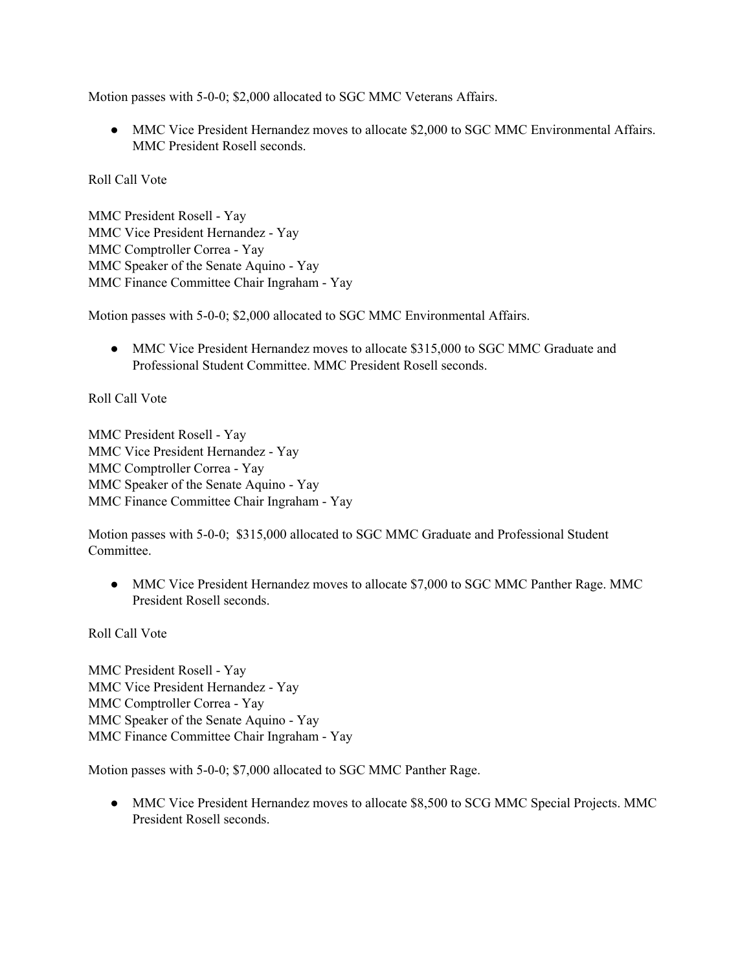Motion passes with 5-0-0; \$2,000 allocated to SGC MMC Veterans Affairs.

• MMC Vice President Hernandez moves to allocate \$2,000 to SGC MMC Environmental Affairs. MMC President Rosell seconds.

Roll Call Vote

MMC President Rosell - Yay MMC Vice President Hernandez - Yay MMC Comptroller Correa - Yay MMC Speaker of the Senate Aquino - Yay MMC Finance Committee Chair Ingraham - Yay

Motion passes with 5-0-0; \$2,000 allocated to SGC MMC Environmental Affairs.

• MMC Vice President Hernandez moves to allocate \$315,000 to SGC MMC Graduate and Professional Student Committee. MMC President Rosell seconds.

Roll Call Vote

MMC President Rosell - Yay MMC Vice President Hernandez - Yay MMC Comptroller Correa - Yay MMC Speaker of the Senate Aquino - Yay MMC Finance Committee Chair Ingraham - Yay

Motion passes with 5-0-0; \$315,000 allocated to SGC MMC Graduate and Professional Student **Committee** 

● MMC Vice President Hernandez moves to allocate \$7,000 to SGC MMC Panther Rage. MMC President Rosell seconds.

Roll Call Vote

MMC President Rosell - Yay MMC Vice President Hernandez - Yay MMC Comptroller Correa - Yay MMC Speaker of the Senate Aquino - Yay MMC Finance Committee Chair Ingraham - Yay

Motion passes with 5-0-0; \$7,000 allocated to SGC MMC Panther Rage.

• MMC Vice President Hernandez moves to allocate \$8,500 to SCG MMC Special Projects. MMC President Rosell seconds.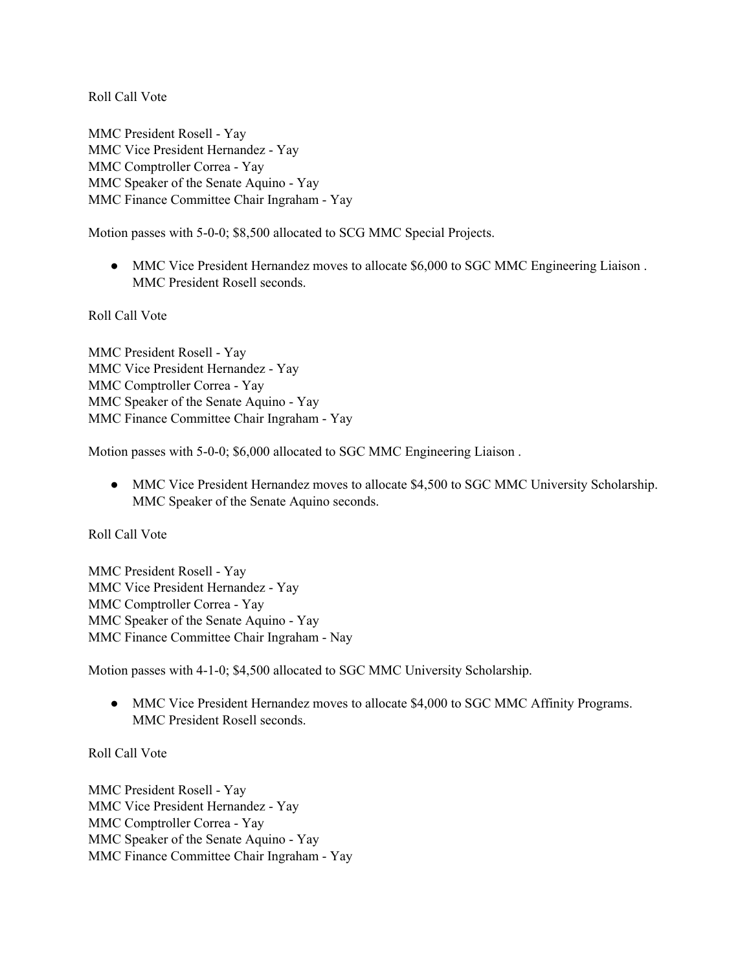MMC President Rosell - Yay MMC Vice President Hernandez - Yay MMC Comptroller Correa - Yay MMC Speaker of the Senate Aquino - Yay MMC Finance Committee Chair Ingraham - Yay

Motion passes with 5-0-0; \$8,500 allocated to SCG MMC Special Projects.

• MMC Vice President Hernandez moves to allocate \$6,000 to SGC MMC Engineering Liaison. MMC President Rosell seconds.

Roll Call Vote

MMC President Rosell - Yay MMC Vice President Hernandez - Yay MMC Comptroller Correa - Yay MMC Speaker of the Senate Aquino - Yay MMC Finance Committee Chair Ingraham - Yay

Motion passes with 5-0-0; \$6,000 allocated to SGC MMC Engineering Liaison .

• MMC Vice President Hernandez moves to allocate \$4,500 to SGC MMC University Scholarship. MMC Speaker of the Senate Aquino seconds.

Roll Call Vote

MMC President Rosell - Yay MMC Vice President Hernandez - Yay MMC Comptroller Correa - Yay MMC Speaker of the Senate Aquino - Yay MMC Finance Committee Chair Ingraham - Nay

Motion passes with 4-1-0; \$4,500 allocated to SGC MMC University Scholarship.

• MMC Vice President Hernandez moves to allocate \$4,000 to SGC MMC Affinity Programs. MMC President Rosell seconds.

Roll Call Vote

MMC President Rosell - Yay MMC Vice President Hernandez - Yay MMC Comptroller Correa - Yay MMC Speaker of the Senate Aquino - Yay MMC Finance Committee Chair Ingraham - Yay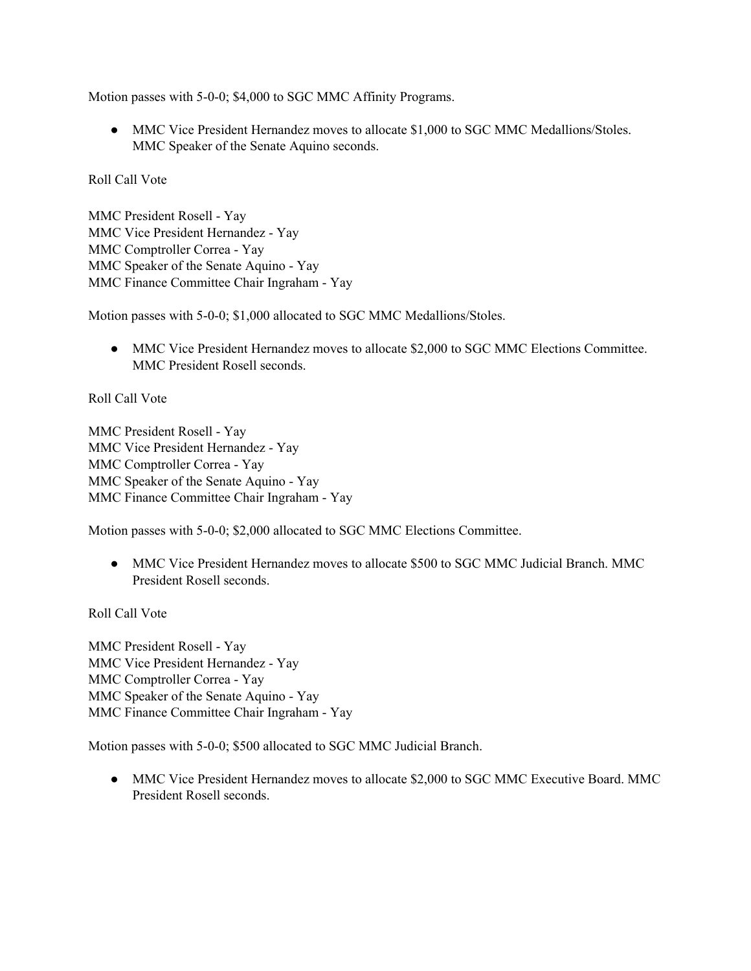Motion passes with 5-0-0; \$4,000 to SGC MMC Affinity Programs.

• MMC Vice President Hernandez moves to allocate \$1,000 to SGC MMC Medallions/Stoles. MMC Speaker of the Senate Aquino seconds.

Roll Call Vote

MMC President Rosell - Yay MMC Vice President Hernandez - Yay MMC Comptroller Correa - Yay MMC Speaker of the Senate Aquino - Yay MMC Finance Committee Chair Ingraham - Yay

Motion passes with 5-0-0; \$1,000 allocated to SGC MMC Medallions/Stoles.

• MMC Vice President Hernandez moves to allocate \$2,000 to SGC MMC Elections Committee. MMC President Rosell seconds.

Roll Call Vote

MMC President Rosell - Yay MMC Vice President Hernandez - Yay MMC Comptroller Correa - Yay MMC Speaker of the Senate Aquino - Yay MMC Finance Committee Chair Ingraham - Yay

Motion passes with 5-0-0; \$2,000 allocated to SGC MMC Elections Committee.

● MMC Vice President Hernandez moves to allocate \$500 to SGC MMC Judicial Branch. MMC President Rosell seconds.

Roll Call Vote

MMC President Rosell - Yay MMC Vice President Hernandez - Yay MMC Comptroller Correa - Yay MMC Speaker of the Senate Aquino - Yay MMC Finance Committee Chair Ingraham - Yay

Motion passes with 5-0-0; \$500 allocated to SGC MMC Judicial Branch.

• MMC Vice President Hernandez moves to allocate \$2,000 to SGC MMC Executive Board. MMC President Rosell seconds.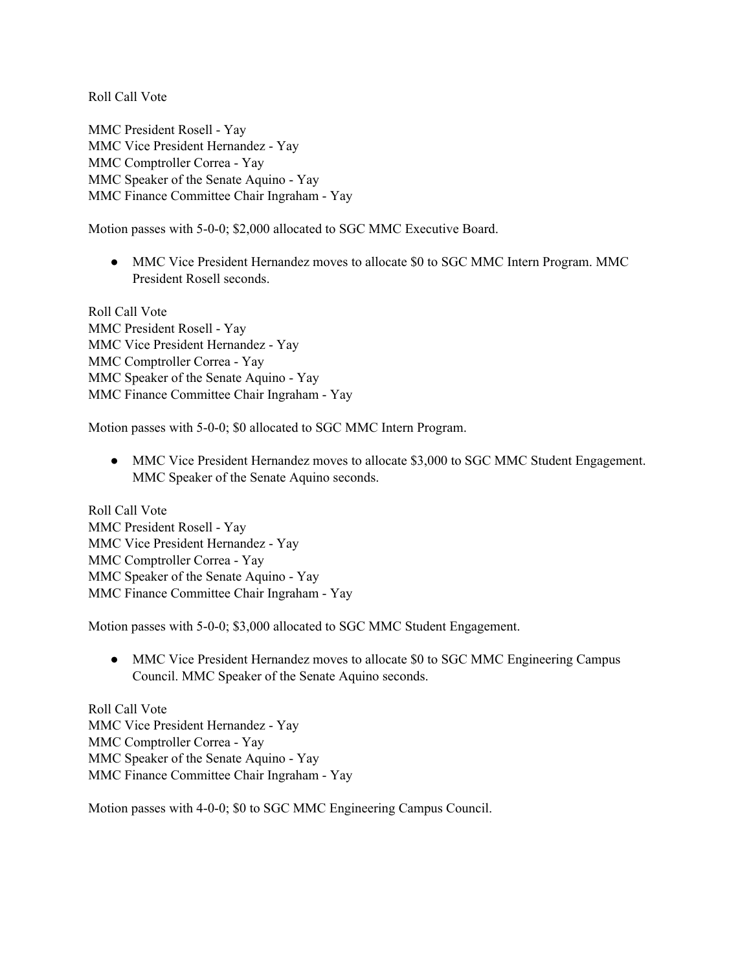MMC President Rosell - Yay MMC Vice President Hernandez - Yay MMC Comptroller Correa - Yay MMC Speaker of the Senate Aquino - Yay MMC Finance Committee Chair Ingraham - Yay

Motion passes with 5-0-0; \$2,000 allocated to SGC MMC Executive Board.

• MMC Vice President Hernandez moves to allocate \$0 to SGC MMC Intern Program. MMC President Rosell seconds.

Roll Call Vote MMC President Rosell - Yay MMC Vice President Hernandez - Yay MMC Comptroller Correa - Yay MMC Speaker of the Senate Aquino - Yay MMC Finance Committee Chair Ingraham - Yay

Motion passes with 5-0-0; \$0 allocated to SGC MMC Intern Program.

• MMC Vice President Hernandez moves to allocate \$3,000 to SGC MMC Student Engagement. MMC Speaker of the Senate Aquino seconds.

Roll Call Vote MMC President Rosell - Yay MMC Vice President Hernandez - Yay MMC Comptroller Correa - Yay MMC Speaker of the Senate Aquino - Yay MMC Finance Committee Chair Ingraham - Yay

Motion passes with 5-0-0; \$3,000 allocated to SGC MMC Student Engagement.

• MMC Vice President Hernandez moves to allocate \$0 to SGC MMC Engineering Campus Council. MMC Speaker of the Senate Aquino seconds.

Roll Call Vote MMC Vice President Hernandez - Yay MMC Comptroller Correa - Yay MMC Speaker of the Senate Aquino - Yay MMC Finance Committee Chair Ingraham - Yay

Motion passes with 4-0-0; \$0 to SGC MMC Engineering Campus Council.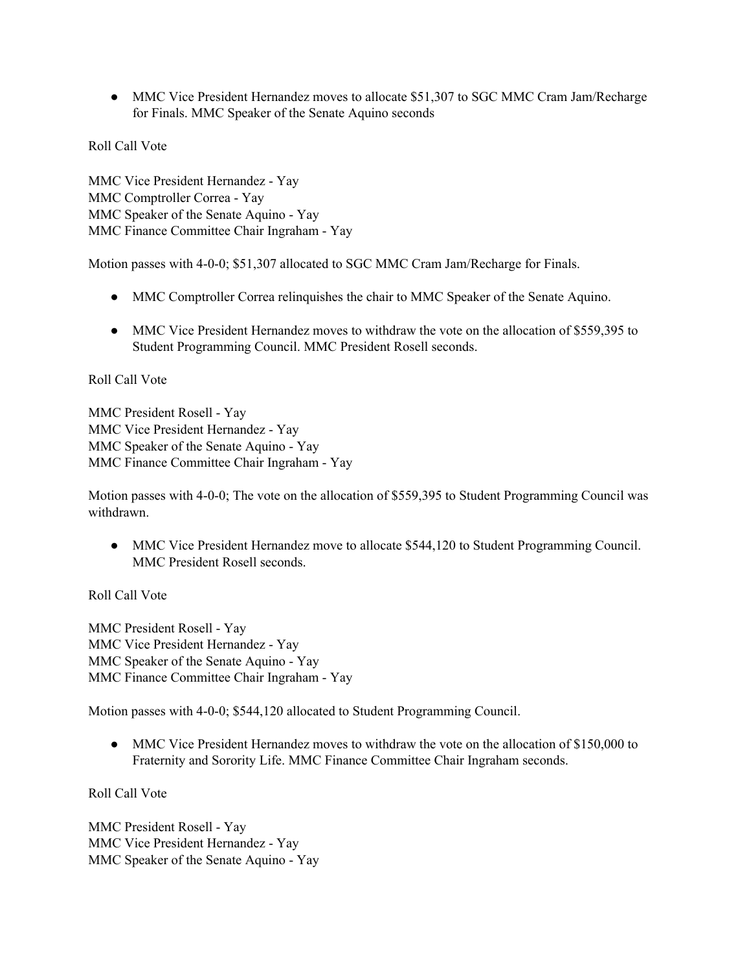• MMC Vice President Hernandez moves to allocate \$51,307 to SGC MMC Cram Jam/Recharge for Finals. MMC Speaker of the Senate Aquino seconds

Roll Call Vote

MMC Vice President Hernandez - Yay MMC Comptroller Correa - Yay MMC Speaker of the Senate Aquino - Yay MMC Finance Committee Chair Ingraham - Yay

Motion passes with 4-0-0; \$51,307 allocated to SGC MMC Cram Jam/Recharge for Finals.

- MMC Comptroller Correa relinquishes the chair to MMC Speaker of the Senate Aquino.
- MMC Vice President Hernandez moves to withdraw the vote on the allocation of \$559,395 to Student Programming Council. MMC President Rosell seconds.

#### Roll Call Vote

MMC President Rosell - Yay MMC Vice President Hernandez - Yay MMC Speaker of the Senate Aquino - Yay MMC Finance Committee Chair Ingraham - Yay

Motion passes with 4-0-0; The vote on the allocation of \$559,395 to Student Programming Council was withdrawn.

• MMC Vice President Hernandez move to allocate \$544,120 to Student Programming Council. MMC President Rosell seconds.

Roll Call Vote

MMC President Rosell - Yay MMC Vice President Hernandez - Yay MMC Speaker of the Senate Aquino - Yay MMC Finance Committee Chair Ingraham - Yay

Motion passes with 4-0-0; \$544,120 allocated to Student Programming Council.

● MMC Vice President Hernandez moves to withdraw the vote on the allocation of \$150,000 to Fraternity and Sorority Life. MMC Finance Committee Chair Ingraham seconds.

Roll Call Vote

MMC President Rosell - Yay MMC Vice President Hernandez - Yay MMC Speaker of the Senate Aquino - Yay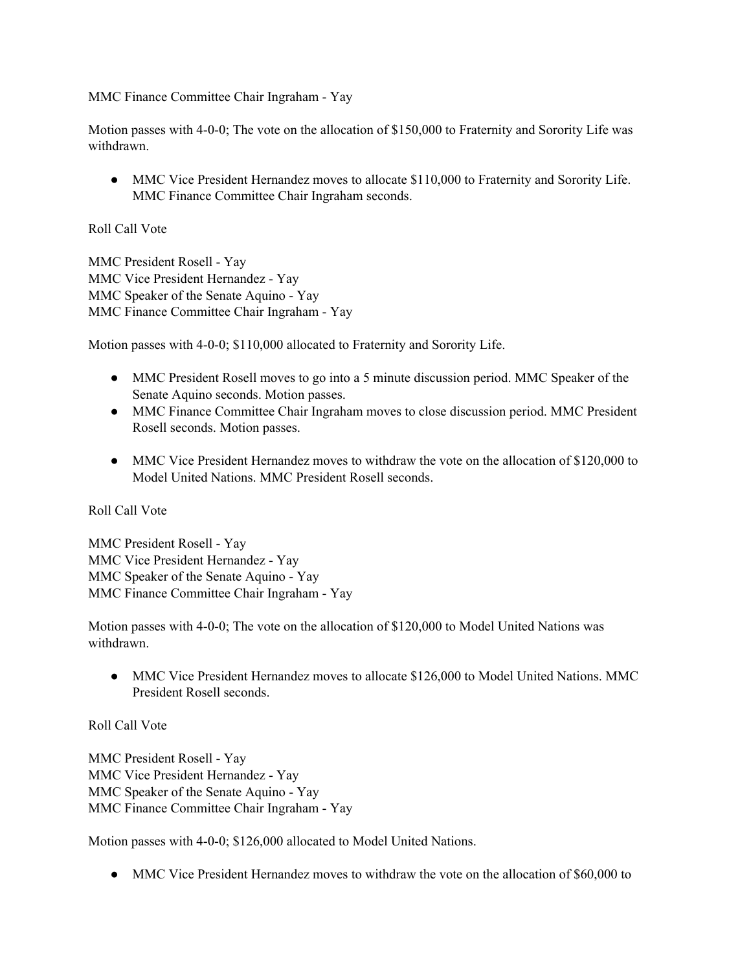MMC Finance Committee Chair Ingraham - Yay

Motion passes with 4-0-0; The vote on the allocation of \$150,000 to Fraternity and Sorority Life was withdrawn.

• MMC Vice President Hernandez moves to allocate \$110,000 to Fraternity and Sorority Life. MMC Finance Committee Chair Ingraham seconds.

## Roll Call Vote

MMC President Rosell - Yay MMC Vice President Hernandez - Yay MMC Speaker of the Senate Aquino - Yay MMC Finance Committee Chair Ingraham - Yay

Motion passes with 4-0-0; \$110,000 allocated to Fraternity and Sorority Life.

- MMC President Rosell moves to go into a 5 minute discussion period. MMC Speaker of the Senate Aquino seconds. Motion passes.
- MMC Finance Committee Chair Ingraham moves to close discussion period. MMC President Rosell seconds. Motion passes.
- MMC Vice President Hernandez moves to withdraw the vote on the allocation of \$120,000 to Model United Nations. MMC President Rosell seconds.

Roll Call Vote

MMC President Rosell - Yay MMC Vice President Hernandez - Yay MMC Speaker of the Senate Aquino - Yay MMC Finance Committee Chair Ingraham - Yay

Motion passes with 4-0-0; The vote on the allocation of \$120,000 to Model United Nations was withdrawn.

• MMC Vice President Hernandez moves to allocate \$126,000 to Model United Nations. MMC President Rosell seconds.

Roll Call Vote

MMC President Rosell - Yay MMC Vice President Hernandez - Yay MMC Speaker of the Senate Aquino - Yay MMC Finance Committee Chair Ingraham - Yay

Motion passes with 4-0-0; \$126,000 allocated to Model United Nations.

• MMC Vice President Hernandez moves to withdraw the vote on the allocation of \$60,000 to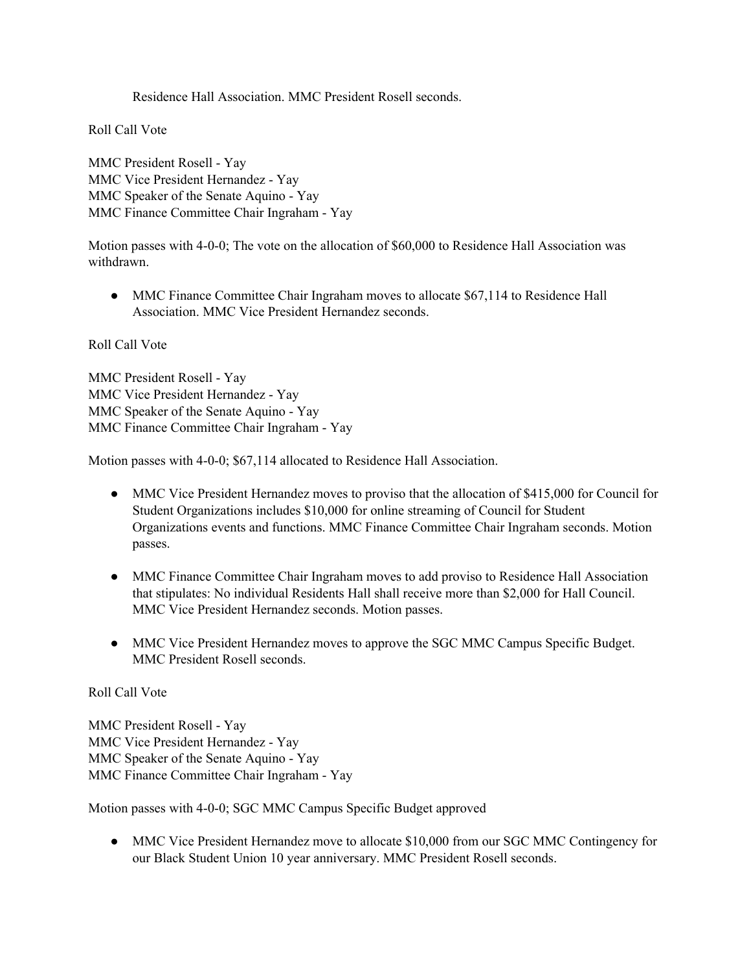Residence Hall Association. MMC President Rosell seconds.

Roll Call Vote

MMC President Rosell - Yay MMC Vice President Hernandez - Yay MMC Speaker of the Senate Aquino - Yay MMC Finance Committee Chair Ingraham - Yay

Motion passes with 4-0-0; The vote on the allocation of \$60,000 to Residence Hall Association was withdrawn.

● MMC Finance Committee Chair Ingraham moves to allocate \$67,114 to Residence Hall Association. MMC Vice President Hernandez seconds.

Roll Call Vote

MMC President Rosell - Yay MMC Vice President Hernandez - Yay MMC Speaker of the Senate Aquino - Yay MMC Finance Committee Chair Ingraham - Yay

Motion passes with 4-0-0; \$67,114 allocated to Residence Hall Association.

- MMC Vice President Hernandez moves to proviso that the allocation of \$415,000 for Council for Student Organizations includes \$10,000 for online streaming of Council for Student Organizations events and functions. MMC Finance Committee Chair Ingraham seconds. Motion passes.
- MMC Finance Committee Chair Ingraham moves to add proviso to Residence Hall Association that stipulates: No individual Residents Hall shall receive more than \$2,000 for Hall Council. MMC Vice President Hernandez seconds. Motion passes.
- MMC Vice President Hernandez moves to approve the SGC MMC Campus Specific Budget. MMC President Rosell seconds.

#### Roll Call Vote

MMC President Rosell - Yay MMC Vice President Hernandez - Yay MMC Speaker of the Senate Aquino - Yay MMC Finance Committee Chair Ingraham - Yay

Motion passes with 4-0-0; SGC MMC Campus Specific Budget approved

• MMC Vice President Hernandez move to allocate \$10,000 from our SGC MMC Contingency for our Black Student Union 10 year anniversary. MMC President Rosell seconds.